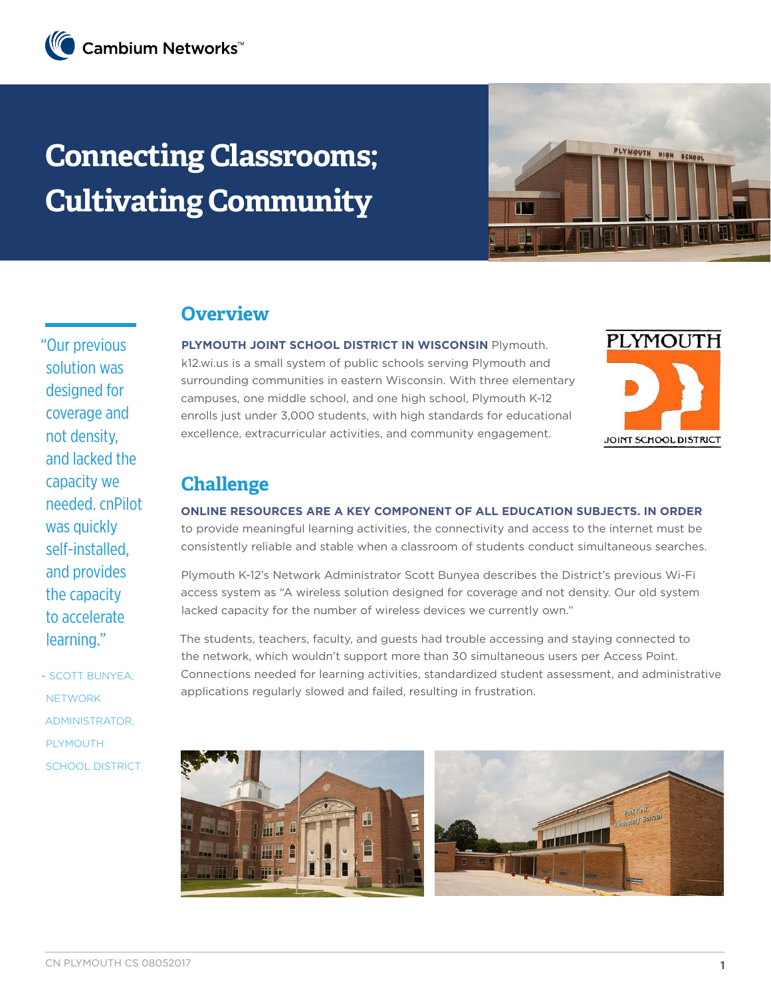# **Connecting Classrooms; Cultivating Community**



### **Overview**

"Our previous solution was designed for coverage and not density, and lacked the capacity we needed. cnPilot was quickly self-installed, and provides the capacity to accelerate learning."

- Scott Bunyea, **NETWORK** Administrator, **PLYMOUTH SCHOOL DISTRICT** 

**Plymouth Joint School District in Wisconsin** Plymouth. k12.wi.us is a small system of public schools serving Plymouth and surrounding communities in eastern Wisconsin. With three elementary campuses, one middle school, and one high school, Plymouth K-12 enrolls just under 3,000 students, with high standards for educational excellence, extracurricular activities, and community engagement.



## **Challenge**

#### **Online resources are a key component of all education subjects. In order**  to provide meaningful learning activities, the connectivity and access to the internet must be

consistently reliable and stable when a classroom of students conduct simultaneous searches.

Plymouth K-12's Network Administrator Scott Bunyea describes the District's previous Wi-Fi access system as "A wireless solution designed for coverage and not density. Our old system lacked capacity for the number of wireless devices we currently own."

The students, teachers, faculty, and guests had trouble accessing and staying connected to the network, which wouldn't support more than 30 simultaneous users per Access Point. Connections needed for learning activities, standardized student assessment, and administrative applications regularly slowed and failed, resulting in frustration.